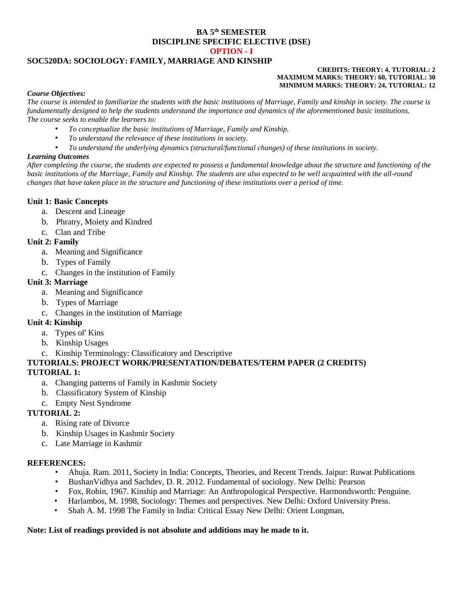#### **BA 5 th SEMESTER DISCIPLINE SPECIFIC ELECTIVE (DSE) OPTION - I**

# **SOC520DA: SOCIOLOGY: FAMILY, MARRIAGE AND KINSHIP**

#### **CREDITS: THEORY: 4, TUTORIAL: 2 MAXIMUM MARKS: THEORY: 60, TUTORIAL: 30 MINIMUM MARKS: THEORY: 24, TUTORIAL: 12**

#### *Course Objectives:*

*The course is intended to familiarize the students with the basic institutions of Marriage, Family and kinship in society. The course is fundamentally designed to help the students understand the importance and dynamics of the aforementioned basic institutions. The course seeks to enable the learners to:*

- *To conceptualize the basic institutions of Marriage, Family and Kinship.*
- *To understand the relevance of these institutions in society.*
- *To understand the underlying dynamics (structural/functional changes) of these institutions in society.*

#### *Learning Outcomes*

*After completing the course, the students are expected to possess a fundamental knowledge about the structure and functioning of the basic institutions of the Marriage, Family and Kinship. The students are also expected to be well acquainted with the all-round changes that have taken place in the structure and functioning of these institutions over a period of time.*

#### **Unit 1: Basic Concepts**

- a. Descent and Lineage
- b. Phratry, Moiety and Kindred
- c. Clan and Tribe

## **Unit 2: Family**

- a. Meaning and Significance
- b. Types of Family
- c. Changes in the institution of Family

#### **Unit 3: Marriage**

- a. Meaning and Significance
- b. Types of Marriage
- c. Changes in the institution of Marriage

## **Unit 4: Kinship**

- a. Types of' Kins
- b. Kinship Usages
- c. Kinship Terminology: Classificatory and Descriptive

# **TUTORIALS: PROJECT WORK/PRESENTATION/DEBATES/TERM PAPER (2 CREDITS)**

#### **TUTORIAL 1:**

- a. Changing patterns of Family in Kashmir Society
- b. Classificatory System of Kinship
- c. Empty Nest Syndrome

## **TUTORIAL 2:**

- a. Rising rate of Divorce
- b. Kinship Usages in Kashmir Society
- c. Late Marriage in Kashmir

#### **REFERENCES:**

- Ahuja. Ram. 2011, Society in India: Concepts, Theories, and Recent Trends. Jaipur: Ruwat Publications
- BushanVidhya and Sachdev, D. R. 2012. Fundamental of sociology. New Delhi: Pearson
- Fox, Robin, 1967. Kinship and Marriage: An Anthropological Perspective. Harmondsworth: Penguine.
- Harlambos, M. 1998, Sociology: Themes and perspectives. New Delhi: Oxford University Press.
- Shah A. M. 1998 The Family in India: Critical Essay New Delhi: Orient Longman,

#### **Note: List of readings provided is not absolute and additions may he made to it.**